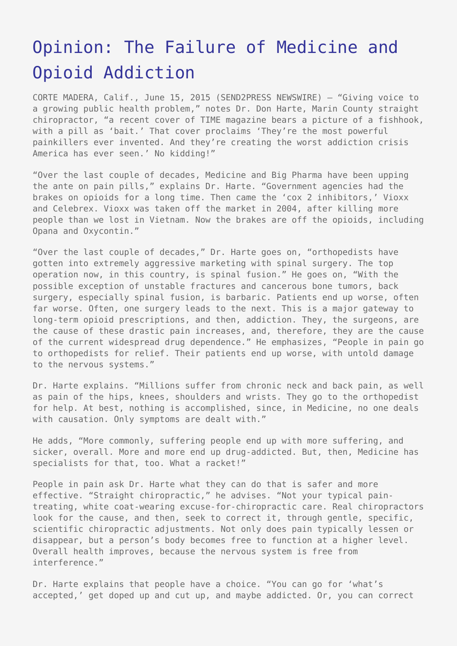## [Opinion: The Failure of Medicine and](https://www.send2press.com/wire/the-failure-of-medicine-and-opioid-addiction-2015-0615-03/) [Opioid Addiction](https://www.send2press.com/wire/the-failure-of-medicine-and-opioid-addiction-2015-0615-03/)

CORTE MADERA, Calif., June 15, 2015 (SEND2PRESS NEWSWIRE) — "Giving voice to a growing public health problem," notes Dr. Don Harte, Marin County straight chiropractor, "a recent cover of TIME magazine bears a picture of a fishhook, with a pill as 'bait.' That cover proclaims 'They're the most powerful painkillers ever invented. And they're creating the worst addiction crisis America has ever seen.' No kidding!"

"Over the last couple of decades, Medicine and Big Pharma have been upping the ante on pain pills," explains Dr. Harte. "Government agencies had the brakes on opioids for a long time. Then came the 'cox 2 inhibitors,' Vioxx and Celebrex. Vioxx was taken off the market in 2004, after killing more people than we lost in Vietnam. Now the brakes are off the opioids, including Opana and Oxycontin."

"Over the last couple of decades," Dr. Harte goes on, "orthopedists have gotten into extremely aggressive marketing with spinal surgery. The top operation now, in this country, is spinal fusion." He goes on, "With the possible exception of unstable fractures and cancerous bone tumors, back surgery, especially spinal fusion, is barbaric. Patients end up worse, often far worse. Often, one surgery leads to the next. This is a major gateway to long-term opioid prescriptions, and then, addiction. They, the surgeons, are the cause of these drastic pain increases, and, therefore, they are the cause of the current widespread drug dependence." He emphasizes, "People in pain go to orthopedists for relief. Their patients end up worse, with untold damage to the nervous systems."

Dr. Harte explains. "Millions suffer from chronic neck and back pain, as well as pain of the hips, knees, shoulders and wrists. They go to the orthopedist for help. At best, nothing is accomplished, since, in Medicine, no one deals with causation. Only symptoms are dealt with."

He adds, "More commonly, suffering people end up with more suffering, and sicker, overall. More and more end up drug-addicted. But, then, Medicine has specialists for that, too. What a racket!"

People in pain ask Dr. Harte what they can do that is safer and more effective. "Straight chiropractic," he advises. "Not your typical paintreating, white coat-wearing excuse-for-chiropractic care. Real chiropractors look for the cause, and then, seek to correct it, through gentle, specific, scientific chiropractic adjustments. Not only does pain typically lessen or disappear, but a person's body becomes free to function at a higher level. Overall health improves, because the nervous system is free from interference."

Dr. Harte explains that people have a choice. "You can go for 'what's accepted,' get doped up and cut up, and maybe addicted. Or, you can correct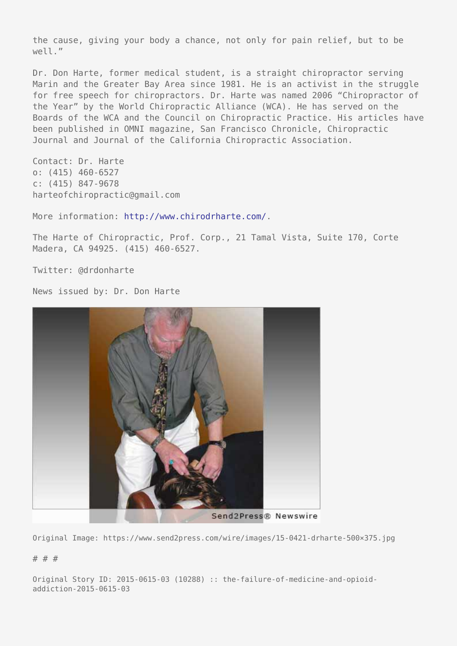the cause, giving your body a chance, not only for pain relief, but to be well."

Dr. Don Harte, former medical student, is a straight chiropractor serving Marin and the Greater Bay Area since 1981. He is an activist in the struggle for free speech for chiropractors. Dr. Harte was named 2006 "Chiropractor of the Year" by the World Chiropractic Alliance (WCA). He has served on the Boards of the WCA and the Council on Chiropractic Practice. His articles have been published in OMNI magazine, San Francisco Chronicle, Chiropractic Journal and Journal of the California Chiropractic Association.

Contact: Dr. Harte o: (415) 460-6527 c: (415) 847-9678 harteofchiropractic@gmail.com

More information: <http://www.chirodrharte.com/>.

The Harte of Chiropractic, Prof. Corp., 21 Tamal Vista, Suite 170, Corte Madera, CA 94925. (415) 460-6527.

Twitter: @drdonharte

News issued by: Dr. Don Harte



Original Image: https://www.send2press.com/wire/images/15-0421-drharte-500×375.jpg

## # # #

Original Story ID: 2015-0615-03 (10288) :: the-failure-of-medicine-and-opioidaddiction-2015-0615-03